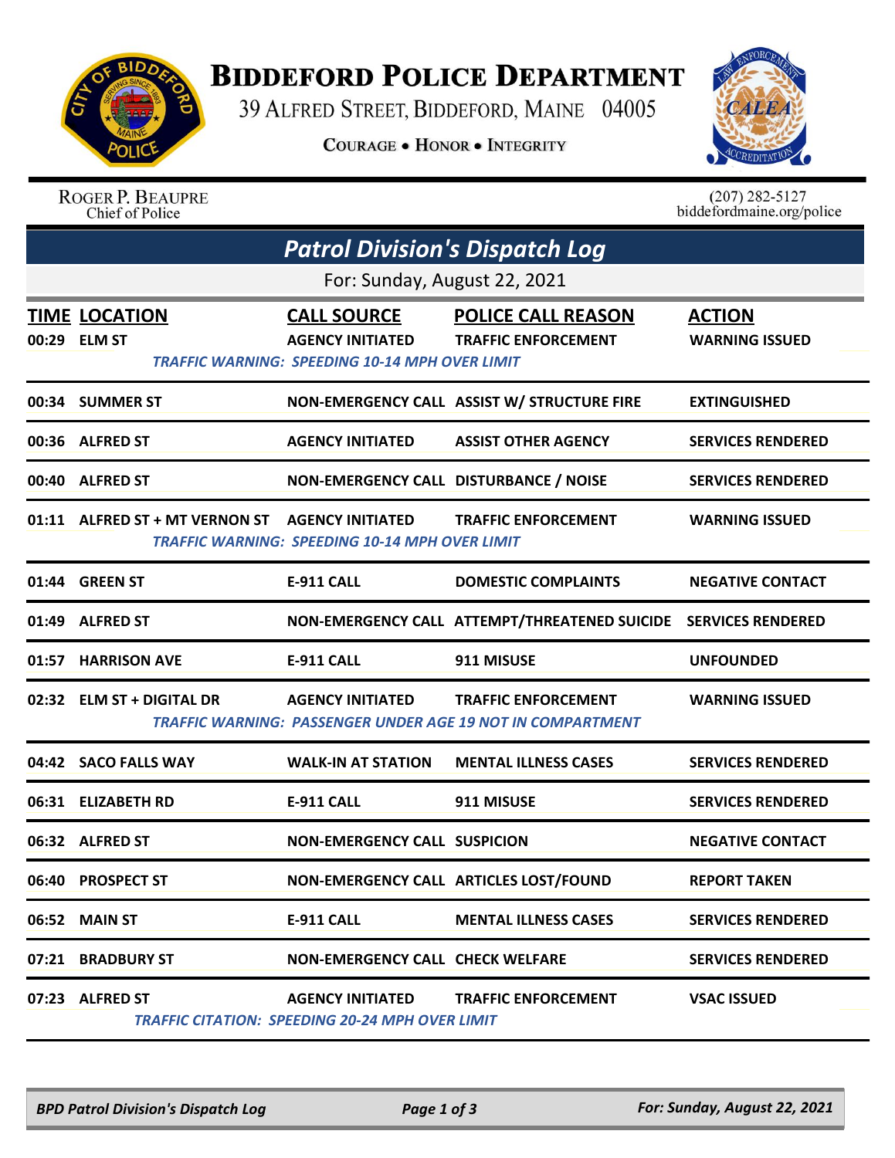

## **BIDDEFORD POLICE DEPARTMENT**

39 ALFRED STREET, BIDDEFORD, MAINE 04005

**COURAGE . HONOR . INTEGRITY** 



ROGER P. BEAUPRE Chief of Police

 $(207)$  282-5127 biddefordmaine.org/police

| <b>Patrol Division's Dispatch Log</b> |                                                                     |                                                                                                        |                                                                                                 |                                        |  |  |  |
|---------------------------------------|---------------------------------------------------------------------|--------------------------------------------------------------------------------------------------------|-------------------------------------------------------------------------------------------------|----------------------------------------|--|--|--|
| For: Sunday, August 22, 2021          |                                                                     |                                                                                                        |                                                                                                 |                                        |  |  |  |
|                                       | <b>TIME LOCATION</b><br>00:29 ELM ST                                | <b>CALL SOURCE</b><br><b>AGENCY INITIATED</b><br><b>TRAFFIC WARNING: SPEEDING 10-14 MPH OVER LIMIT</b> | <b>POLICE CALL REASON</b><br><b>TRAFFIC ENFORCEMENT</b>                                         | <b>ACTION</b><br><b>WARNING ISSUED</b> |  |  |  |
|                                       | 00:34 SUMMER ST                                                     |                                                                                                        | NON-EMERGENCY CALL ASSIST W/ STRUCTURE FIRE                                                     | <b>EXTINGUISHED</b>                    |  |  |  |
|                                       | 00:36 ALFRED ST                                                     | <b>AGENCY INITIATED</b>                                                                                | <b>ASSIST OTHER AGENCY</b>                                                                      | <b>SERVICES RENDERED</b>               |  |  |  |
|                                       | 00:40 ALFRED ST                                                     | NON-EMERGENCY CALL DISTURBANCE / NOISE                                                                 |                                                                                                 | <b>SERVICES RENDERED</b>               |  |  |  |
|                                       | 01:11 ALFRED ST + MT VERNON ST AGENCY INITIATED TRAFFIC ENFORCEMENT | <b>TRAFFIC WARNING: SPEEDING 10-14 MPH OVER LIMIT</b>                                                  |                                                                                                 | <b>WARNING ISSUED</b>                  |  |  |  |
|                                       | 01:44 GREEN ST                                                      | <b>E-911 CALL</b>                                                                                      | <b>DOMESTIC COMPLAINTS</b>                                                                      | <b>NEGATIVE CONTACT</b>                |  |  |  |
|                                       | 01:49 ALFRED ST                                                     |                                                                                                        | NON-EMERGENCY CALL ATTEMPT/THREATENED SUICIDE SERVICES RENDERED                                 |                                        |  |  |  |
|                                       | 01:57 HARRISON AVE                                                  | <b>E-911 CALL</b>                                                                                      | 911 MISUSE                                                                                      | <b>UNFOUNDED</b>                       |  |  |  |
|                                       | 02:32 ELM ST + DIGITAL DR                                           | <b>AGENCY INITIATED</b>                                                                                | <b>TRAFFIC ENFORCEMENT</b><br><b>TRAFFIC WARNING: PASSENGER UNDER AGE 19 NOT IN COMPARTMENT</b> | <b>WARNING ISSUED</b>                  |  |  |  |
|                                       | 04:42 SACO FALLS WAY                                                | <b>WALK-IN AT STATION</b>                                                                              | <b>MENTAL ILLNESS CASES</b>                                                                     | <b>SERVICES RENDERED</b>               |  |  |  |
|                                       | 06:31 ELIZABETH RD                                                  | <b>E-911 CALL</b>                                                                                      | 911 MISUSE                                                                                      | <b>SERVICES RENDERED</b>               |  |  |  |
|                                       | 06:32 ALFRED ST                                                     | <b>NON-EMERGENCY CALL SUSPICION</b>                                                                    |                                                                                                 | <b>NEGATIVE CONTACT</b>                |  |  |  |
|                                       | 06:40 PROSPECT ST                                                   |                                                                                                        | NON-EMERGENCY CALL ARTICLES LOST/FOUND                                                          | <b>REPORT TAKEN</b>                    |  |  |  |
|                                       | 06:52 MAIN ST                                                       | <b>E-911 CALL</b>                                                                                      | <b>MENTAL ILLNESS CASES</b>                                                                     | <b>SERVICES RENDERED</b>               |  |  |  |
|                                       | 07:21 BRADBURY ST                                                   | <b>NON-EMERGENCY CALL CHECK WELFARE</b>                                                                |                                                                                                 | <b>SERVICES RENDERED</b>               |  |  |  |
|                                       | 07:23 ALFRED ST                                                     | <b>TRAFFIC CITATION: SPEEDING 20-24 MPH OVER LIMIT</b>                                                 | AGENCY INITIATED TRAFFIC ENFORCEMENT                                                            | <b>VSAC ISSUED</b>                     |  |  |  |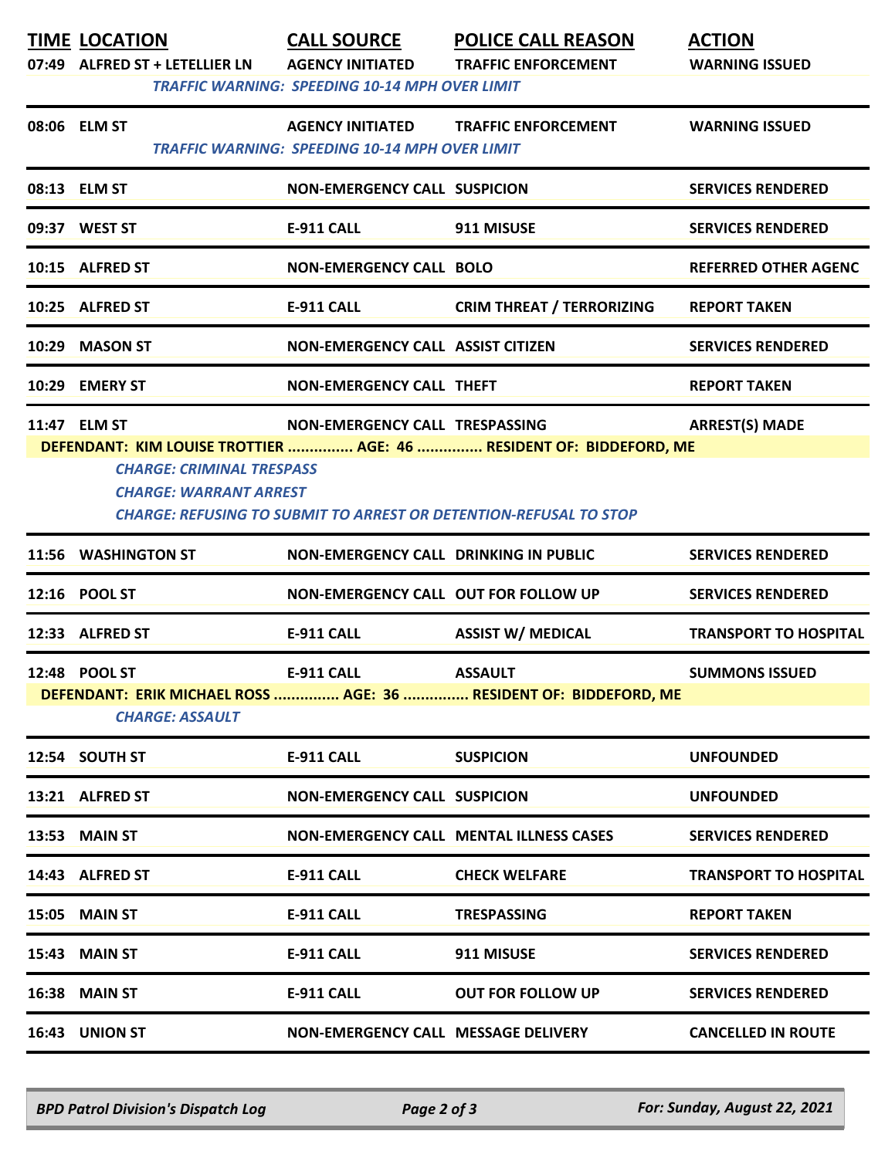|                                                                                                                                                                                                                                                                                                 | <u>TIME LOCATION</u><br>07:49 ALFRED ST + LETELLIER LN AGENCY INITIATED | <b>TRAFFIC WARNING: SPEEDING 10-14 MPH OVER LIMIT</b>                            | <b>CALL SOURCE POLICE CALL REASON</b><br><b>TRAFFIC ENFORCEMENT</b>                 | <b>ACTION</b><br><b>WARNING ISSUED</b> |  |  |
|-------------------------------------------------------------------------------------------------------------------------------------------------------------------------------------------------------------------------------------------------------------------------------------------------|-------------------------------------------------------------------------|----------------------------------------------------------------------------------|-------------------------------------------------------------------------------------|----------------------------------------|--|--|
|                                                                                                                                                                                                                                                                                                 | 08:06 ELM ST                                                            | <b>AGENCY INITIATED</b><br><b>TRAFFIC WARNING: SPEEDING 10-14 MPH OVER LIMIT</b> | <b>TRAFFIC ENFORCEMENT</b>                                                          | <b>WARNING ISSUED</b>                  |  |  |
|                                                                                                                                                                                                                                                                                                 | 08:13 ELM ST                                                            | <b>NON-EMERGENCY CALL SUSPICION</b>                                              |                                                                                     | <b>SERVICES RENDERED</b>               |  |  |
|                                                                                                                                                                                                                                                                                                 | 09:37 WEST ST                                                           | <b>E-911 CALL</b>                                                                | 911 MISUSE                                                                          | <b>SERVICES RENDERED</b>               |  |  |
|                                                                                                                                                                                                                                                                                                 | 10:15 ALFRED ST                                                         | <b>NON-EMERGENCY CALL BOLO</b>                                                   |                                                                                     | <b>REFERRED OTHER AGENC</b>            |  |  |
|                                                                                                                                                                                                                                                                                                 | 10:25 ALFRED ST                                                         | E-911 CALL                                                                       | <b>CRIM THREAT / TERRORIZING</b>                                                    | <b>REPORT TAKEN</b>                    |  |  |
|                                                                                                                                                                                                                                                                                                 | 10:29 MASON ST                                                          | NON-EMERGENCY CALL ASSIST CITIZEN                                                |                                                                                     | <b>SERVICES RENDERED</b>               |  |  |
|                                                                                                                                                                                                                                                                                                 | 10:29 EMERY ST                                                          | NON-EMERGENCY CALL THEFT                                                         |                                                                                     | <b>REPORT TAKEN</b>                    |  |  |
| <b>ARREST(S) MADE</b><br>11:47 ELM ST<br>NON-EMERGENCY CALL TRESPASSING<br>DEFENDANT: KIM LOUISE TROTTIER  AGE: 46  RESIDENT OF: BIDDEFORD, ME<br><b>CHARGE: CRIMINAL TRESPASS</b><br><b>CHARGE: WARRANT ARREST</b><br><b>CHARGE: REFUSING TO SUBMIT TO ARREST OR DETENTION-REFUSAL TO STOP</b> |                                                                         |                                                                                  |                                                                                     |                                        |  |  |
|                                                                                                                                                                                                                                                                                                 | 11:56 WASHINGTON ST                                                     | NON-EMERGENCY CALL DRINKING IN PUBLIC                                            |                                                                                     | <b>SERVICES RENDERED</b>               |  |  |
|                                                                                                                                                                                                                                                                                                 | 12:16 POOL ST                                                           | NON-EMERGENCY CALL OUT FOR FOLLOW UP                                             |                                                                                     | <b>SERVICES RENDERED</b>               |  |  |
|                                                                                                                                                                                                                                                                                                 | 12:33 ALFRED ST                                                         | <b>E-911 CALL</b>                                                                | <b>ASSIST W/ MEDICAL</b>                                                            | <b>TRANSPORT TO HOSPITAL</b>           |  |  |
|                                                                                                                                                                                                                                                                                                 | 12:48 POOL ST<br><b>CHARGE: ASSAULT</b>                                 | <b>E-911 CALL</b>                                                                | <b>ASSAULT</b><br>DEFENDANT: ERIK MICHAEL ROSS  AGE: 36  RESIDENT OF: BIDDEFORD, ME | <b>SUMMONS ISSUED</b>                  |  |  |
|                                                                                                                                                                                                                                                                                                 | 12:54 SOUTH ST                                                          | <b>E-911 CALL</b>                                                                | <b>SUSPICION</b>                                                                    | <b>UNFOUNDED</b>                       |  |  |
|                                                                                                                                                                                                                                                                                                 | 13:21 ALFRED ST                                                         | <b>NON-EMERGENCY CALL SUSPICION</b>                                              |                                                                                     | <b>UNFOUNDED</b>                       |  |  |
|                                                                                                                                                                                                                                                                                                 | 13:53 MAIN ST                                                           |                                                                                  | <b>NON-EMERGENCY CALL MENTAL ILLNESS CASES</b>                                      | <b>SERVICES RENDERED</b>               |  |  |
|                                                                                                                                                                                                                                                                                                 | 14:43 ALFRED ST                                                         | <b>E-911 CALL</b>                                                                | <b>CHECK WELFARE</b>                                                                | <b>TRANSPORT TO HOSPITAL</b>           |  |  |
|                                                                                                                                                                                                                                                                                                 | <b>15:05 MAIN ST</b>                                                    | E-911 CALL                                                                       | <b>TRESPASSING</b>                                                                  | <b>REPORT TAKEN</b>                    |  |  |
|                                                                                                                                                                                                                                                                                                 | 15:43 MAIN ST                                                           | <b>E-911 CALL</b>                                                                | 911 MISUSE                                                                          | <b>SERVICES RENDERED</b>               |  |  |
|                                                                                                                                                                                                                                                                                                 | <b>16:38 MAIN ST</b>                                                    | E-911 CALL                                                                       | <b>OUT FOR FOLLOW UP</b>                                                            | <b>SERVICES RENDERED</b>               |  |  |
|                                                                                                                                                                                                                                                                                                 | 16:43 UNION ST                                                          | NON-EMERGENCY CALL MESSAGE DELIVERY                                              |                                                                                     | <b>CANCELLED IN ROUTE</b>              |  |  |

*BPD Patrol Division's Dispatch Log Page 2 of 3 For: Sunday, August 22, 2021*